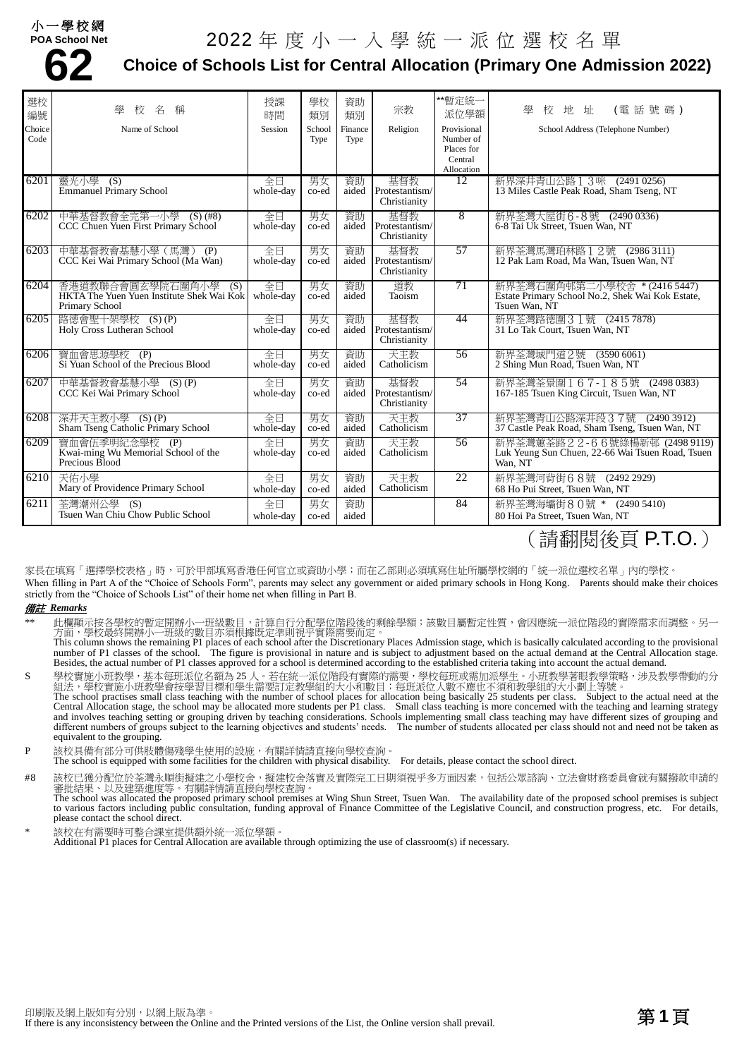### 小一學校網

# 2022 年度小一入學統一派位選校名單



### **Choice of Schools List for Central Allocation (Primary One Admission 2022)**

| 選校<br>編號       | 壆<br>名<br>稱<br>校                                                                       | 授課<br>時間        | 學校<br>類別       | 資助<br>類別        | 宗教                                          | **暫定統一<br>派位學額                                                  | (電話號碼)<br>學<br>地<br>址<br>校                                                                                                     |
|----------------|----------------------------------------------------------------------------------------|-----------------|----------------|-----------------|---------------------------------------------|-----------------------------------------------------------------|--------------------------------------------------------------------------------------------------------------------------------|
| Choice<br>Code | Name of School                                                                         | Session         | School<br>Type | Finance<br>Type | Religion                                    | Provisional<br>Number of<br>Places for<br>Central<br>Allocation | School Address (Telephone Number)                                                                                              |
| 6201           | 靈光小學 (S)<br><b>Emmanuel Primary School</b>                                             | 全日<br>whole-day | 男女<br>co-ed    | 資助<br>aided     | 基督教<br>Protestantism/<br>Christianity       | 12                                                              | 新界深井青山公路 1 3咪 (2491 0256)<br>13 Miles Castle Peak Road, Sham Tseng, NT                                                         |
| 6202           | 中華基督教會全完第一小學<br>$(S)$ (#8)<br>CCC Chuen Yuen First Primary School                      | 全日<br>whole-day | 男女<br>co-ed    | 資助<br>aided     | 基督教<br>Protestantism/<br>Christianity       | 8                                                               | 新界荃灣大屋街6-8號 (2490 0336)<br>6-8 Tai Uk Street, Tsuen Wan, NT                                                                    |
| 6203           | 中華基督教會基慧小學 (馬灣)<br>(P)<br>CCC Kei Wai Primary School (Ma Wan)                          | 全日<br>whole-day | 男女<br>co-ed    | 資助<br>aided     | 基督教<br>Protestantism/<br>Christianity       | 57                                                              | 新界荃灣馬灣珀林路 1 2號 (2986 3111)<br>12 Pak Lam Road, Ma Wan, Tsuen Wan, NT                                                           |
| 6204           | 香港道教聯合會圓玄學院石圍角小學<br>(S)<br>HKTA The Yuen Yuen Institute Shek Wai Kok<br>Primary School | 全日<br>whole-day | 男女<br>co-ed    | 資助<br>aided     | 道教<br>Taoism                                | 71                                                              | 新界荃灣石圍角邨第二小學校舍 * (2416 5447)<br>Estate Primary School No.2, Shek Wai Kok Estate,<br>Tsuen Wan. NT                              |
| 6205           | 路德會聖十架學校<br>$(S)$ (P)<br>Holy Cross Lutheran School                                    | 全日<br>whole-day | 男女<br>co-ed    | 資助<br>aided     | 基督教<br>Protestantism/<br>Christianity       | 44                                                              | 新界荃灣路德圍31號 (2415 7878)<br>31 Lo Tak Court, Tsuen Wan, NT                                                                       |
| 6206           | 寶血會思源學校 (P)<br>Si Yuan School of the Precious Blood                                    | 全日<br>whole-day | 男女<br>co-ed    | 資助<br>aided     | 天主教<br>Catholicism                          | 56                                                              | 新界荃灣城門道2號 (3590 6061)<br>2 Shing Mun Road, Tsuen Wan, NT                                                                       |
| 6207           | 中華基督教會基慧小學 (S)(P)<br>CCC Kei Wai Primary School                                        | 全日<br>whole-day | 男女<br>co-ed    | 資助              | 基督教<br>aided Protestantism/<br>Christianity | 54                                                              | 新界荃灣荃景圍167-185號 (24980383)<br>167-185 Tsuen King Circuit, Tsuen Wan, NT                                                        |
| 6208           | 深井天主教小學 (S)(P)<br>Sham Tseng Catholic Primary School                                   | 全日<br>whole-day | 男女<br>co-ed    | 資助<br>aided     | 天主教<br>Catholicism                          | 37                                                              | 新界荃灣青山公路深井段 3 7號 (2490 3912)<br>37 Castle Peak Road, Sham Tseng, Tsuen Wan, NT                                                 |
| 6209           | 寶血會伍季明紀念學校 (P)<br>Kwai-ming Wu Memorial School of the<br>Precious Blood                | 全日<br>whole-day | 男女<br>co-ed    | 資助<br>aided     | 天主教<br>Catholicism                          | 56                                                              | 新界荃灣蕙荃路 2 2 - 6 6號綠楊新邨 (2498 9119)<br>Luk Yeung Sun Chuen, 22-66 Wai Tsuen Road, Tsuen<br>Wan, NT                              |
| 6210           | 天佑小學<br>Mary of Providence Primary School                                              | 全日<br>whole-day | 男女<br>co-ed    | 資助<br>aided     | 天主教<br>Catholicism                          | 22                                                              | 新界荃灣河背街68號 (2492 2929)<br>68 Ho Pui Street. Tsuen Wan. NT                                                                      |
| 6211           | 荃灣潮州公學 (S)<br>Tsuen Wan Chiu Chow Public School                                        | 全日<br>whole-day | 男女<br>co-ed    | 資助<br>aided     |                                             | 84                                                              | 新界荃灣海壩街80號 * (2490 5410)<br>80 Hoi Pa Street, Tsuen Wan, NT<br>$\lambda$ ) in the state of $\lambda$ is the state of $\lambda$ |

## (請翻閱後頁 P.T.O.)

家長在填寫「選擇學校表格」時,可於甲部填寫香港任何官立或資助小學;而在乙部則必須填寫住址所屬學校網的「統一派位選校名單」內的學校。 When filling in Part A of the "Choice of Schools Form", parents may select any government or aided primary schools in Hong Kong. Parents should make their choices strictly from the "Choice of Schools List" of their home net when filling in Part B.

#### 備註 *Remarks*

\*\* 此欄顯示按各學校的暫定開辦小一班級數目,計算自行分配學位階段後的剩餘學額;該數目屬暫定性質,會因應統一派位階段的實際需求而調整。另一 方面,學校最終開辦小一班級的數目亦須根據既定準則視乎實際需要而定。

This column shows the remaining P1 places of each school after the Discretionary Places Admission stage, which is basically calculated according to the provisional number of P1 classes of the school. The figure is provisional in nature and is subject to adjustment based on the actual demand at the Central Allocation stage. Besides, the actual number of P1 classes approved for a school is determined according to the established criteria taking into account the actual demand.

S 學校實施小班教學,基本每班派位名額為 25 人。若在統一派位階段有實際的需要,學校每班或需加派學生。小班教學著眼教學策略,涉及教學帶動的分 組法,學校實施小班教學會按學習目標和學生需要訂定教學組的大小和數目;每班派位人數不應也不須和教學組的大小劃上等號。 The school practises small class teaching with the number of school places for allocation being basically 25 students per class. Subject to the actual need at the Central Allocation stage, the school may be allocated more students per P1 class. Small class teaching is more concerned with the teaching and learning strategy and involves teaching setting or grouping driven by teaching considerations. Schools implementing small class teaching may have different sizes of grouping and different numbers of groups subject to the learning objectives and students' needs. The number of students allocated per class should not and need not be taken as equivalent to the grouping.

P 該校具備有部分可供肢體傷殘學生使用的設施,有關詳情請直接向學校查詢。

The school is equipped with some facilities for the children with physical disability. For details, please contact the school direct.

#8 該校已獲分配位於荃灣永順街擬建之小學校舍,擬建校舍落實及實際完工日期須視乎多方面因素,包括公眾諮詢、立法會財務委員會就有關撥款申請的 審批結果、以及建築進度等。有關詳情請直接向學校查詢。 The school was allocated the proposed primary school premises at Wing Shun Street, Tsuen Wan. The availability date of the proposed school premises is subject to various factors including public consultation, funding approval of Finance Committee of the Legislative Council, and construction progress, etc. For details,

please contact the school direct. 該校在有需要時可整合課室提供額外統一派位學額

Additional P1 places for Central Allocation are available through optimizing the use of classroom(s) if necessary.